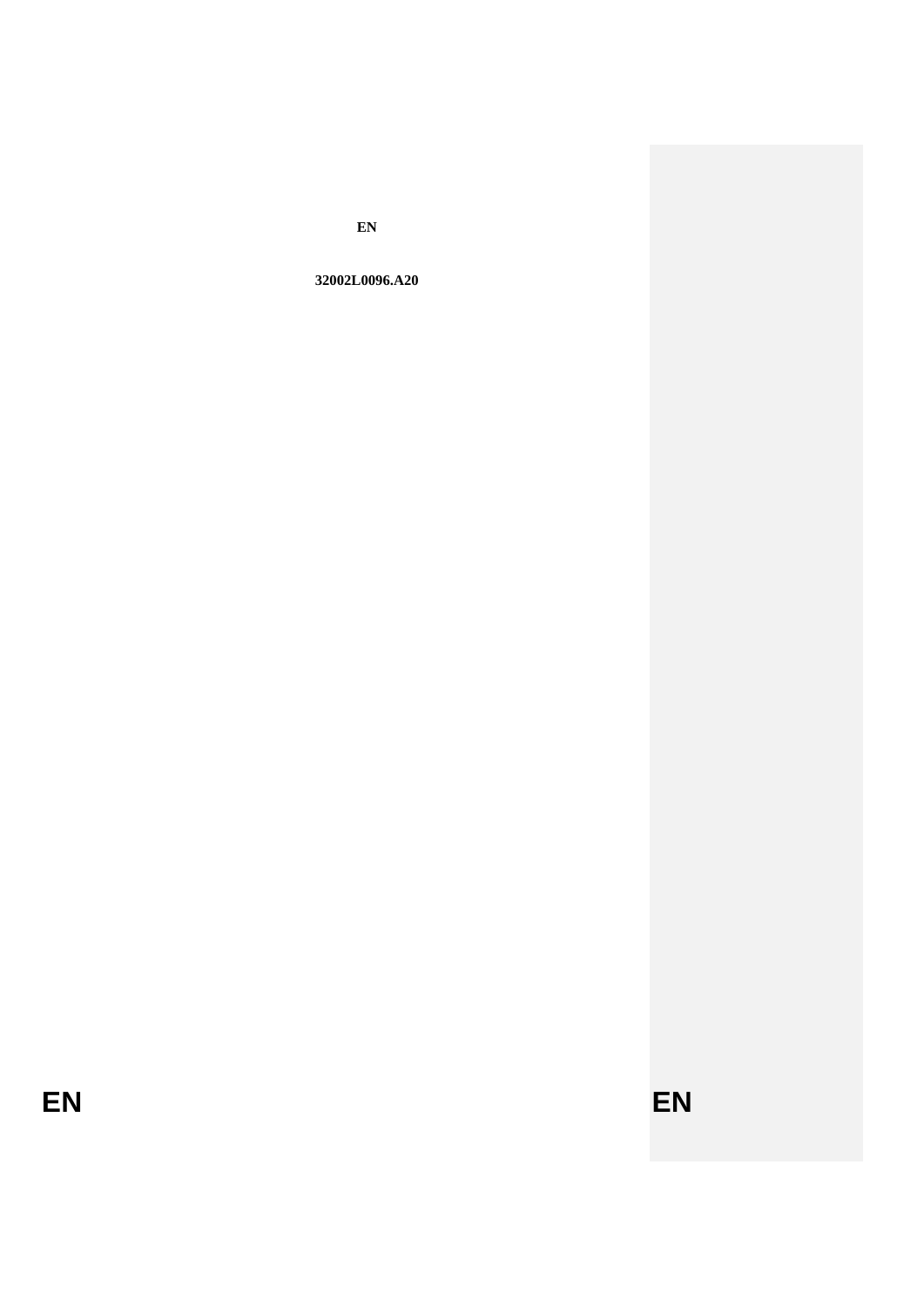$\mathbf{EN}$ 

32002L0096.A20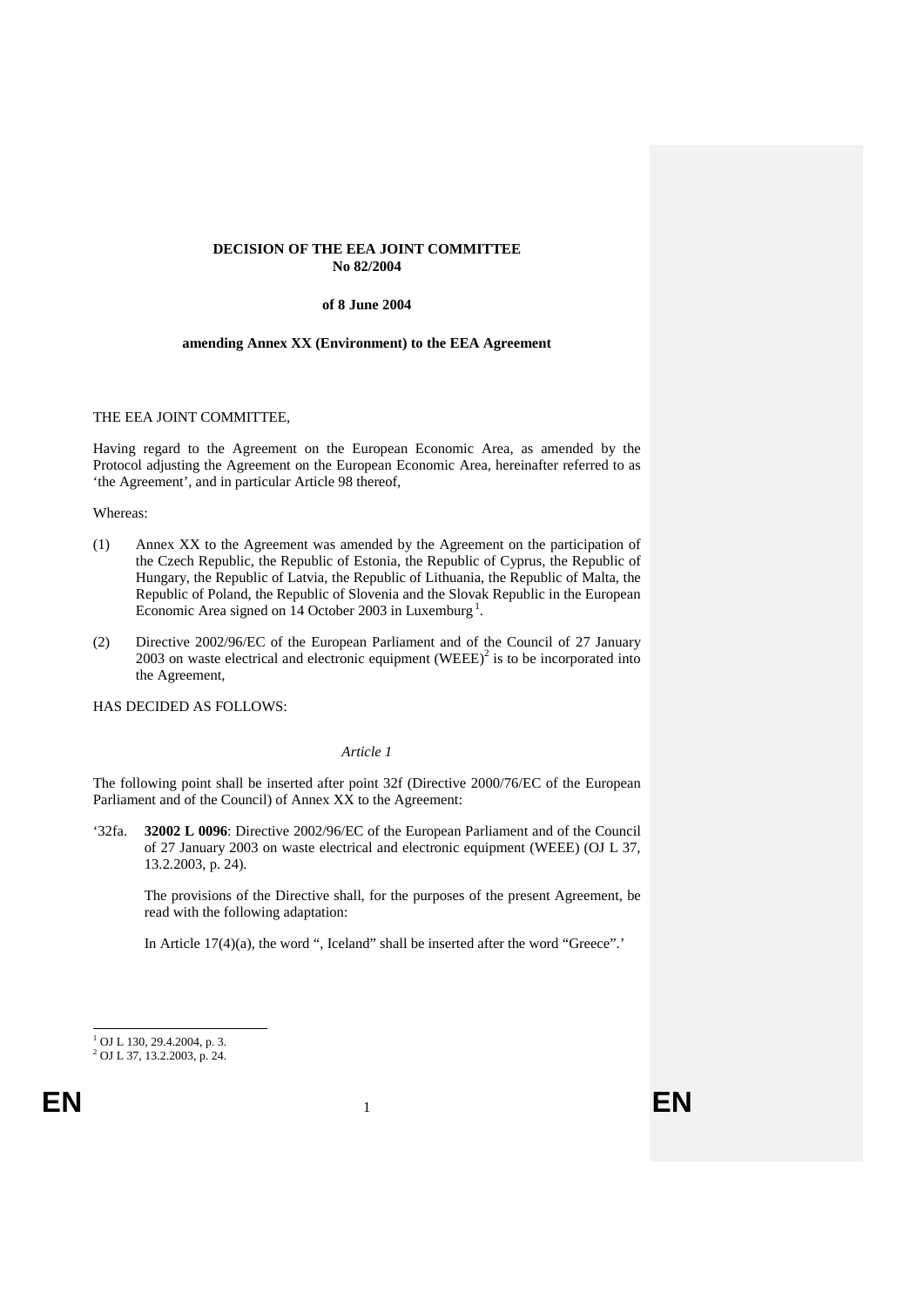## **DECISION OF THE EEA JOINT COMMITTEE No 82/2004**

### **of 8 June 2004**

#### **amending Annex XX (Environment) to the EEA Agreement**

### THE EEA JOINT COMMITTEE,

Having regard to the Agreement on the European Economic Area, as amended by the Protocol adjusting the Agreement on the European Economic Area, hereinafter referred to as 'the Agreement', and in particular Article 98 thereof,

#### Whereas:

- (1) Annex XX to the Agreement was amended by the Agreement on the participation of the Czech Republic, the Republic of Estonia, the Republic of Cyprus, the Republic of Hungary, the Republic of Latvia, the Republic of Lithuania, the Republic of Malta, the Republic of Poland, the Republic of Slovenia and the Slovak Republic in the European Economic Area signed on  $14$  $14$  October 2003 in Luxemburg<sup>1</sup>.
- (2) Directive 2002/96/EC of the European Parliament and of the Council of 27 January 2003 on waste electrical and electronic equipment (WEEE) $^2$  is to be incorporated into the Agreement,

HAS DECIDED AS FOLLOWS:

#### *Article 1*

The following point shall be inserted after point 32f (Directive 2000/76/EC of the European Parliament and of the Council) of Annex XX to the Agreement:

'32fa. **32002 L 0096**: Directive 2002/96/EC of the European Parliament and of the Council of 27 January 2003 on waste electrical and electronic equipment (WEEE) (OJ L 37, 13.2.2003, p. 24).

The provisions of the Directive shall, for the purposes of the present Agreement, be read with the following adaptation:

In Article 17(4)(a), the word ", Iceland" shall be inserted after the word "Greece".'

<sup>&</sup>lt;sup>1</sup> OJ L 130, 29.4.2004, p. 3.

<span id="page-1-0"></span><sup>2</sup> OJ L 37, 13.2.2003, p. 24.